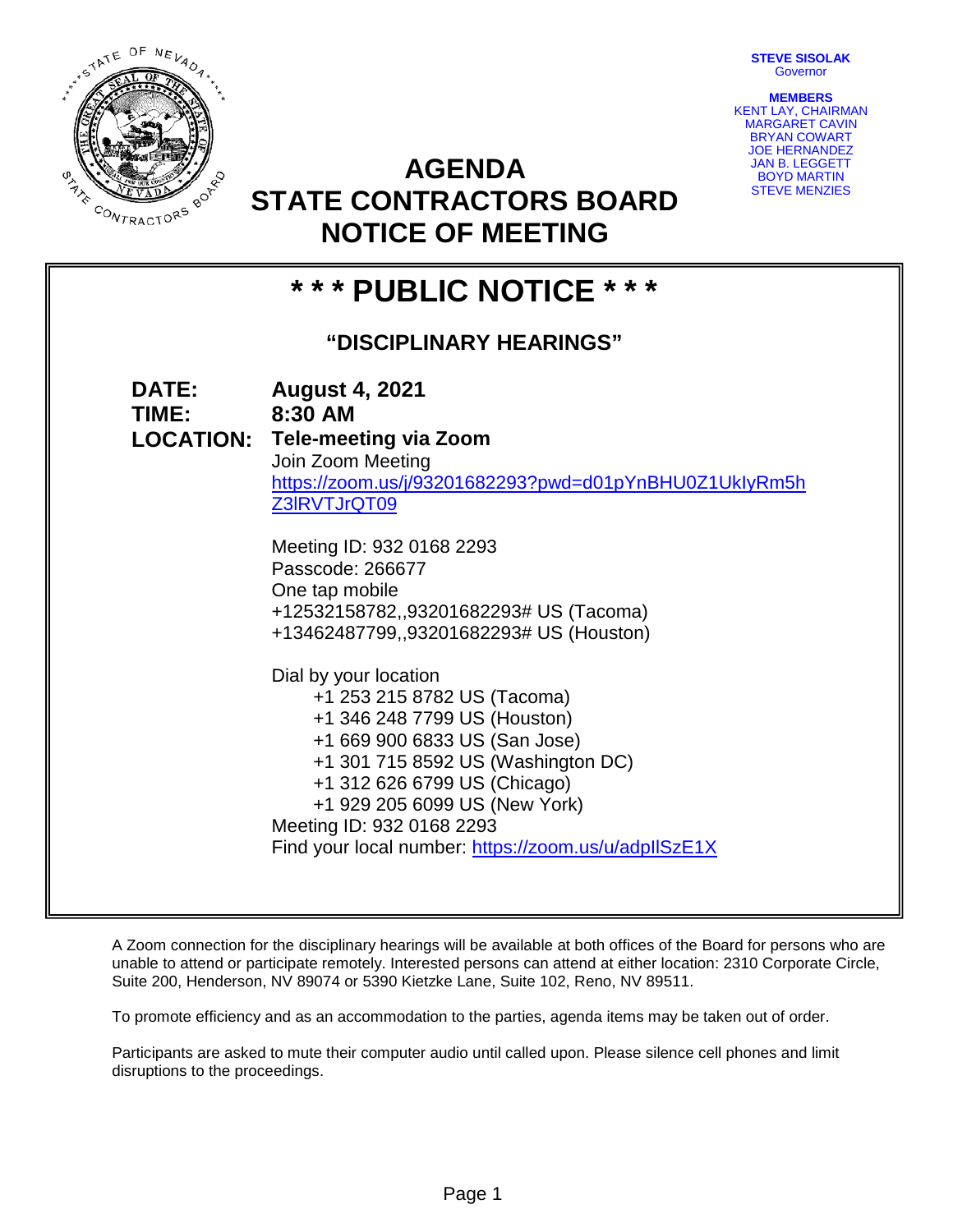**STEVE SISOLAK Governor** 



**AGENDA STATE CONTRACTORS BOARD NOTICE OF MEETING**

**MEMBERS** KENT LAY, CHAIRMAN MARGARET CAVIN BRYAN COWART JOE HERNANDEZ JAN B. LEGGETT BOYD MARTIN STEVE MENZIES

# **\* \* \* PUBLIC NOTICE \* \* \***

# **"DISCIPLINARY HEARINGS"**

| <b>DATE:</b><br>TIME: | <b>August 4, 2021</b><br>8:30 AM                                                  |
|-----------------------|-----------------------------------------------------------------------------------|
|                       | <b>LOCATION: Tele-meeting via Zoom</b>                                            |
|                       | Join Zoom Meeting                                                                 |
|                       | https://zoom.us/j/93201682293?pwd=d01pYnBHU0Z1UklyRm5h<br>Z3IRVTJrQT09            |
|                       | Meeting ID: 932 0168 2293                                                         |
|                       | Passcode: 266677                                                                  |
|                       | One tap mobile                                                                    |
|                       | +12532158782,,93201682293# US (Tacoma)<br>+13462487799,,93201682293# US (Houston) |
|                       |                                                                                   |
|                       | Dial by your location                                                             |
|                       | +1 253 215 8782 US (Tacoma)                                                       |
|                       | +1 346 248 7799 US (Houston)<br>+1 669 900 6833 US (San Jose)                     |
|                       | +1 301 715 8592 US (Washington DC)                                                |
|                       | +1 312 626 6799 US (Chicago)                                                      |
|                       | +1 929 205 6099 US (New York)                                                     |
|                       | Meeting ID: 932 0168 2293                                                         |
|                       | Find your local number: https://zoom.us/u/adpllSzE1X                              |
|                       |                                                                                   |

A Zoom connection for the disciplinary hearings will be available at both offices of the Board for persons who are unable to attend or participate remotely. Interested persons can attend at either location: 2310 Corporate Circle, Suite 200, Henderson, NV 89074 or 5390 Kietzke Lane, Suite 102, Reno, NV 89511.

To promote efficiency and as an accommodation to the parties, agenda items may be taken out of order.

Participants are asked to mute their computer audio until called upon. Please silence cell phones and limit disruptions to the proceedings.